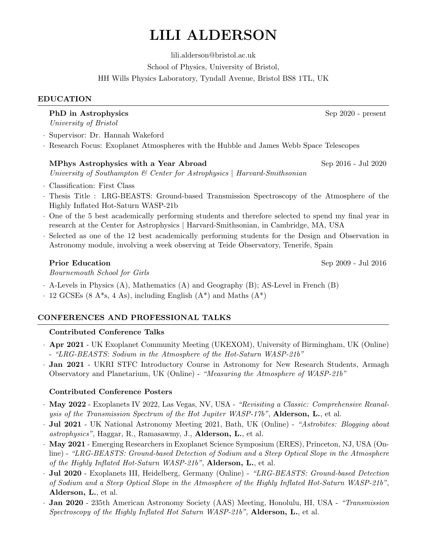# LILI ALDERSON

lili.alderson@bristol.ac.uk School of Physics, University of Bristol,

HH Wills Physics Laboratory, Tyndall Avenue, Bristol BS8 1TL, UK

# EDUCATION

# PhD in Astrophysics Sep 2020 - present

University of Bristol

· Supervisor: Dr. Hannah Wakeford

· Research Focus: Exoplanet Atmospheres with the Hubble and James Webb Space Telescopes

# MPhys Astrophysics with a Year Abroad Sep 2016 - Jul 2020

University of Southampton  $\mathcal C$  Center for Astrophysics | Harvard-Smithsonian

- · Classification: First Class
- · Thesis Title : LRG-BEASTS: Ground-based Transmission Spectroscopy of the Atmosphere of the Highly Inflated Hot-Saturn WASP-21b
- · One of the 5 best academically performing students and therefore selected to spend my final year in research at the Center for Astrophysics | Harvard-Smithsonian, in Cambridge, MA, USA
- Selected as one of the 12 best academically performing students for the Design and Observation in Astronomy module, involving a week observing at Teide Observatory, Tenerife, Spain

Bournemouth School for Girls

- · A-Levels in Physics (A), Mathematics (A) and Geography (B); AS-Level in French (B)
- $\cdot$  12 GCSEs (8 A\*s, 4 As), including English (A\*) and Maths (A\*)

# CONFERENCES AND PROFESSIONAL TALKS

# Contributed Conference Talks

- · Apr 2021 UK Exoplanet Community Meeting (UKEXOM), University of Birmingham, UK (Online) - "LRG-BEASTS: Sodium in the Atmosphere of the Hot-Saturn WASP-21b"
- · Jan 2021 UKRI STFC Introductory Course in Astronomy for New Research Students, Armagh Observatory and Planetarium, UK (Online) - "Measuring the Atmosphere of WASP-21b"

# Contributed Conference Posters

- · May 2022 Exoplanets IV 2022, Las Vegas, NV, USA "Revisiting a Classic: Comprehensive Reanalysis of the Transmission Spectrum of the Hot Jupiter WASP-17b", Alderson, L., et al.
- · Jul 2021 UK National Astronomy Meeting 2021, Bath, UK (Online) "Astrobites: Blogging about astrophysics", Haggar, R., Ramasawmy, J., Alderson, L., et al.
- · May 2021 Emerging Researchers in Exoplanet Science Symposium (ERES), Princeton, NJ, USA (Online) - "LRG-BEASTS: Ground-based Detection of Sodium and a Steep Optical Slope in the Atmosphere of the Highly Inflated Hot-Saturn WASP-21b", Alderson, L., et al.
- · Jul 2020 Exoplanets III, Heidelberg, Germany (Online) "LRG-BEASTS: Ground-based Detection of Sodium and a Steep Optical Slope in the Atmosphere of the Highly Inflated Hot-Saturn WASP-21b", Alderson, L., et al.
- · Jan 2020 235th American Astronomy Society (AAS) Meeting, Honolulu, HI, USA "Transmission Spectroscopy of the Highly Inflated Hot Saturn WASP-21b", Alderson, L., et al.

**Prior Education** Sep 2009 - Jul 2016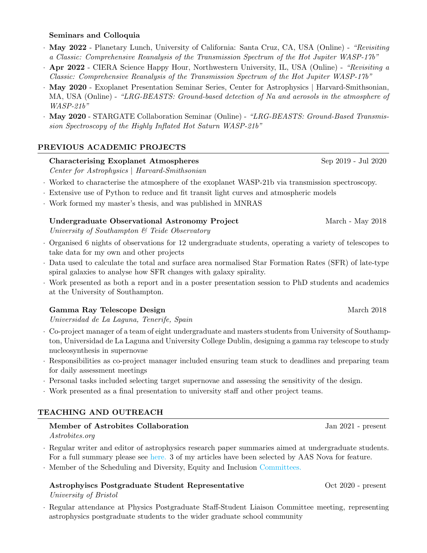#### Seminars and Colloquia

- · May 2022 Planetary Lunch, University of California: Santa Cruz, CA, USA (Online) "Revisiting a Classic: Comprehensive Reanalysis of the Transmission Spectrum of the Hot Jupiter WASP-17b"
- · Apr 2022 CIERA Science Happy Hour, Northwestern University, IL, USA (Online) "Revisiting a Classic: Comprehensive Reanalysis of the Transmission Spectrum of the Hot Jupiter WASP-17b"
- · May 2020 Exoplanet Presentation Seminar Series, Center for Astrophysics | Harvard-Smithsonian, MA, USA (Online) - "LRG-BEASTS: Ground-based detection of Na and aerosols in the atmosphere of WASP-21b"
- May 2020 STARGATE Collaboration Seminar (Online) "LRG-BEASTS: Ground-Based Transmission Spectroscopy of the Highly Inflated Hot Saturn WASP-21b"

#### PREVIOUS ACADEMIC PROJECTS

#### Characterising Exoplanet Atmospheres Sep 2019 - Jul 2020

Center for Astrophysics | Harvard-Smithsonian

- · Worked to characterise the atmosphere of the exoplanet WASP-21b via transmission spectroscopy.
- · Extensive use of Python to reduce and fit transit light curves and atmospheric models
- · Work formed my master's thesis, and was published in MNRAS

# Undergraduate Observational Astronomy Project March - March - May 2018

University of Southampton & Teide Observatory

- · Organised 6 nights of observations for 12 undergraduate students, operating a variety of telescopes to take data for my own and other projects
- · Data used to calculate the total and surface area normalised Star Formation Rates (SFR) of late-type spiral galaxies to analyse how SFR changes with galaxy spirality.
- · Work presented as both a report and in a poster presentation session to PhD students and academics at the University of Southampton.

#### Gamma Ray Telescope Design March 2018

Universidad de La Laguna, Tenerife, Spain

- · Co-project manager of a team of eight undergraduate and masters students from University of Southampton, Universidad de La Laguna and University College Dublin, designing a gamma ray telescope to study nucleosynthesis in supernovae
- · Responsibilities as co-project manager included ensuring team stuck to deadlines and preparing team for daily assessment meetings
- · Personal tasks included selecting target supernovae and assessing the sensitivity of the design.
- · Work presented as a final presentation to university staff and other project teams.

# TEACHING AND OUTREACH

#### Member of Astrobites Collaboration Jan 2021 - present Astrobites.org

- · Regular writer and editor of astrophysics research paper summaries aimed at undergraduate students.
- For a full summary please see [here.](https://docs.google.com/document/d/1b-H2dhl_Y6ma-HFzIcIiE4-NfJyztdRePT9Lmp7L3io/edit?usp=sharing) 3 of my articles have been selected by AAS Nova for feature.
- · Member of the Scheduling and Diversity, Equity and Inclusion [Committees.](https://astrobites.org/about/)

# Astrophyiscs Postgraduate Student Representative Oct 2020 - present

#### University of Bristol

· Regular attendance at Physics Postgraduate Staff-Student Liaison Committee meeting, representing astrophysics postgraduate students to the wider graduate school community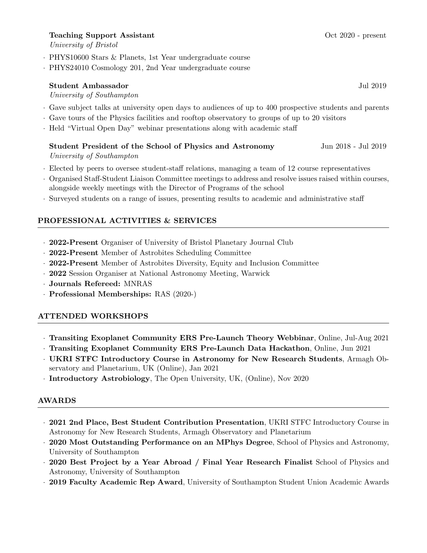### Teaching Support Assistant Contract Contract Contract Oct 2020 - present

University of Bristol

- · PHYS10600 Stars & Planets, 1st Year undergraduate course
- · PHYS24010 Cosmology 201, 2nd Year undergraduate course

# Student Ambassador Jul 2019 University of Southampton

- · Gave subject talks at university open days to audiences of up to 400 prospective students and parents
- · Gave tours of the Physics facilities and rooftop observatory to groups of up to 20 visitors
- · Held "Virtual Open Day" webinar presentations along with academic staff
	- Student President of the School of Physics and Astronomy Jun 2018 Jul 2019 University of Southampton
- · Elected by peers to oversee student-staff relations, managing a team of 12 course representatives
- · Organised Staff-Student Liaison Committee meetings to address and resolve issues raised within courses, alongside weekly meetings with the Director of Programs of the school
- · Surveyed students on a range of issues, presenting results to academic and administrative staff

# PROFESSIONAL ACTIVITIES & SERVICES

- · 2022-Present Organiser of University of Bristol Planetary Journal Club
- · 2022-Present Member of Astrobites Scheduling Committee
- · 2022-Present Member of Astrobites Diversity, Equity and Inclusion Committee
- · 2022 Session Organiser at National Astronomy Meeting, Warwick
- · Journals Refereed: MNRAS
- · Professional Memberships: RAS (2020-)

# ATTENDED WORKSHOPS

- · Transiting Exoplanet Community ERS Pre-Launch Theory Webbinar, Online, Jul-Aug 2021
- · Transiting Exoplanet Community ERS Pre-Launch Data Hackathon, Online, Jun 2021
- · UKRI STFC Introductory Course in Astronomy for New Research Students, Armagh Observatory and Planetarium, UK (Online), Jan 2021
- · Introductory Astrobiology, The Open University, UK, (Online), Nov 2020

#### AWARDS

- · 2021 2nd Place, Best Student Contribution Presentation, UKRI STFC Introductory Course in Astronomy for New Research Students, Armagh Observatory and Planetarium
- 2020 Most Outstanding Performance on an MPhys Degree, School of Physics and Astronomy, University of Southampton
- · 2020 Best Project by a Year Abroad / Final Year Research Finalist School of Physics and Astronomy, University of Southampton
- · 2019 Faculty Academic Rep Award, University of Southampton Student Union Academic Awards